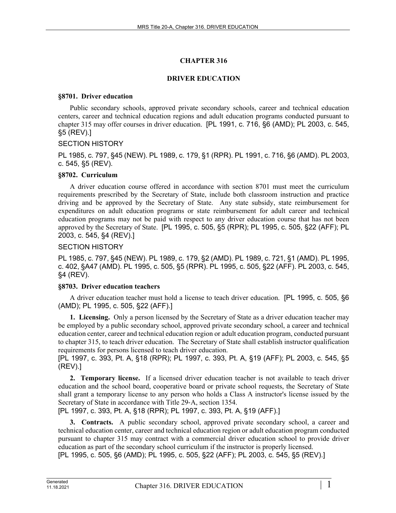# **CHAPTER 316**

## **DRIVER EDUCATION**

#### **§8701. Driver education**

Public secondary schools, approved private secondary schools, career and technical education centers, career and technical education regions and adult education programs conducted pursuant to chapter 315 may offer courses in driver education. [PL 1991, c. 716, §6 (AMD); PL 2003, c. 545, §5 (REV).]

## SECTION HISTORY

PL 1985, c. 797, §45 (NEW). PL 1989, c. 179, §1 (RPR). PL 1991, c. 716, §6 (AMD). PL 2003, c. 545, §5 (REV).

## **§8702. Curriculum**

A driver education course offered in accordance with section 8701 must meet the curriculum requirements prescribed by the Secretary of State, include both classroom instruction and practice driving and be approved by the Secretary of State. Any state subsidy, state reimbursement for expenditures on adult education programs or state reimbursement for adult career and technical education programs may not be paid with respect to any driver education course that has not been approved by the Secretary of State. [PL 1995, c. 505, §5 (RPR); PL 1995, c. 505, §22 (AFF); PL 2003, c. 545, §4 (REV).]

## SECTION HISTORY

PL 1985, c. 797, §45 (NEW). PL 1989, c. 179, §2 (AMD). PL 1989, c. 721, §1 (AMD). PL 1995, c. 402, §A47 (AMD). PL 1995, c. 505, §5 (RPR). PL 1995, c. 505, §22 (AFF). PL 2003, c. 545, §4 (REV).

## **§8703. Driver education teachers**

A driver education teacher must hold a license to teach driver education. [PL 1995, c. 505, §6 (AMD); PL 1995, c. 505, §22 (AFF).]

**1. Licensing.** Only a person licensed by the Secretary of State as a driver education teacher may be employed by a public secondary school, approved private secondary school, a career and technical education center, career and technical education region or adult education program, conducted pursuant to chapter 315, to teach driver education. The Secretary of State shall establish instructor qualification requirements for persons licensed to teach driver education.

[PL 1997, c. 393, Pt. A, §18 (RPR); PL 1997, c. 393, Pt. A, §19 (AFF); PL 2003, c. 545, §5 (REV).]

**2. Temporary license.** If a licensed driver education teacher is not available to teach driver education and the school board, cooperative board or private school requests, the Secretary of State shall grant a temporary license to any person who holds a Class A instructor's license issued by the Secretary of State in accordance with Title 29‑A, section 1354.

[PL 1997, c. 393, Pt. A, §18 (RPR); PL 1997, c. 393, Pt. A, §19 (AFF).]

**3. Contracts.** A public secondary school, approved private secondary school, a career and technical education center, career and technical education region or adult education program conducted pursuant to chapter 315 may contract with a commercial driver education school to provide driver education as part of the secondary school curriculum if the instructor is properly licensed. [PL 1995, c. 505, §6 (AMD); PL 1995, c. 505, §22 (AFF); PL 2003, c. 545, §5 (REV).]